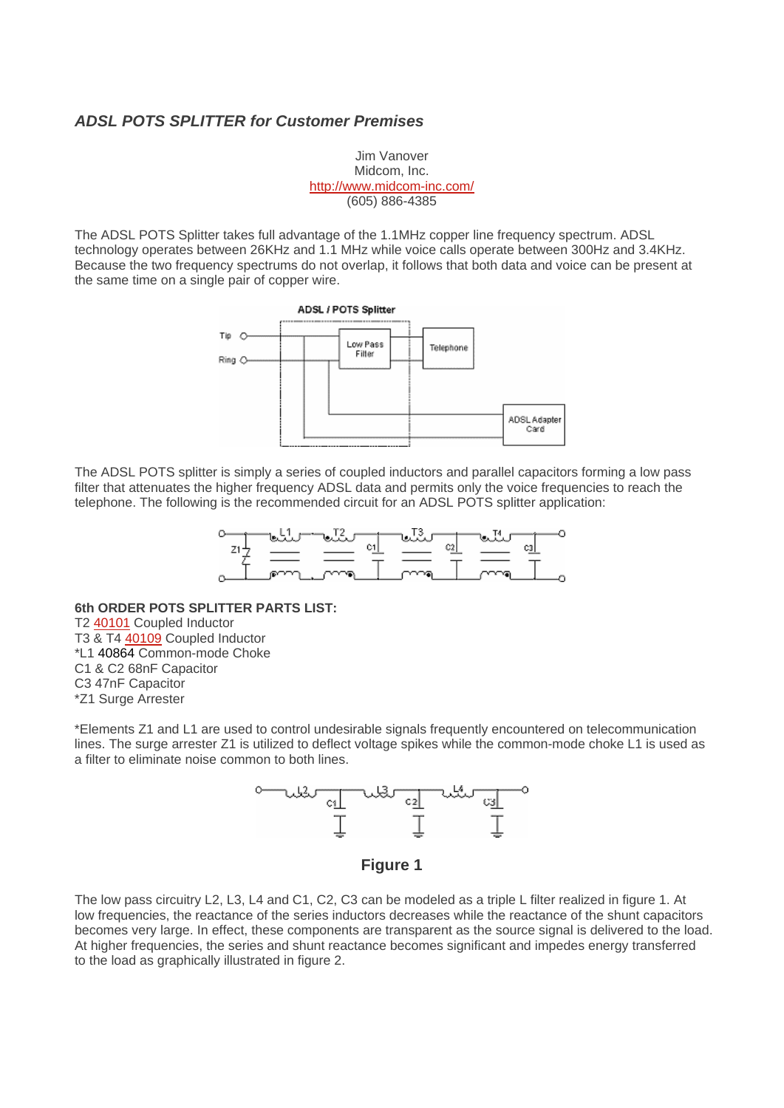## *ADSL POTS SPLITTER for Customer Premises*

Jim Vanover Midcom, Inc. <http://www.midcom-inc.com/> (605) 886-4385

The ADSL POTS Splitter takes full advantage of the 1.1MHz copper line frequency spectrum. ADSL technology operates between 26KHz and 1.1 MHz while voice calls operate between 300Hz and 3.4KHz. Because the two frequency spectrums do not overlap, it follows that both data and voice can be present at the same time on a single pair of copper wire.



The ADSL POTS splitter is simply a series of coupled inductors and parallel capacitors forming a low pass filter that attenuates the higher frequency ADSL data and permits only the voice frequencies to reach the telephone. The following is the recommended circuit for an ADSL POTS splitter application:



**6th ORDER POTS SPLITTER PARTS LIST:**

T2 [40101](http://www.midcom-inc.com/Tech/pdf/s240101.pdf) Coupled Inductor

- T3 & T4 [40109](http://www.midcom-inc.com/Tech/pdf/s240109.pdf) Coupled Inductor
- \*L1 40864 Common-mode Choke
- C1 & C2 68nF Capacitor
- C3 47nF Capacitor
- \*Z1 Surge Arrester

\*Elements Z1 and L1 are used to control undesirable signals frequently encountered on telecommunication lines. The surge arrester Z1 is utilized to deflect voltage spikes while the common-mode choke L1 is used as a filter to eliminate noise common to both lines.



**Figure 1** 

The low pass circuitry L2, L3, L4 and C1, C2, C3 can be modeled as a triple L filter realized in figure 1. At low frequencies, the reactance of the series inductors decreases while the reactance of the shunt capacitors becomes very large. In effect, these components are transparent as the source signal is delivered to the load. At higher frequencies, the series and shunt reactance becomes significant and impedes energy transferred to the load as graphically illustrated in figure 2.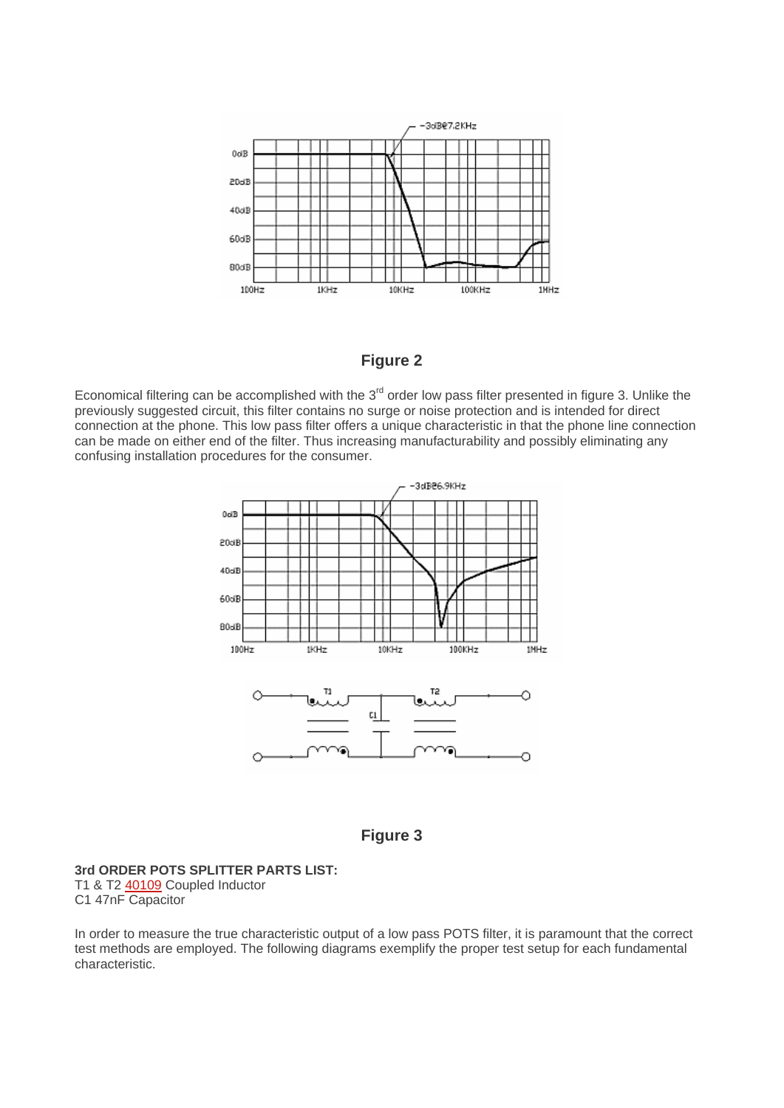

**Figure 2** 

Economical filtering can be accomplished with the  $3<sup>rd</sup>$  order low pass filter presented in figure 3. Unlike the previously suggested circuit, this filter contains no surge or noise protection and is intended for direct connection at the phone. This low pass filter offers a unique characteristic in that the phone line connection can be made on either end of the filter. Thus increasing manufacturability and possibly eliminating any confusing installation procedures for the consumer.





## **3rd ORDER POTS SPLITTER PARTS LIST:** T1 & T2 [40109](http://www.midcom-inc.com/Tech/pdf/s240109.pdf) Coupled Inductor

C1 47nF Capacitor

In order to measure the true characteristic output of a low pass POTS filter, it is paramount that the correct test methods are employed. The following diagrams exemplify the proper test setup for each fundamental characteristic.